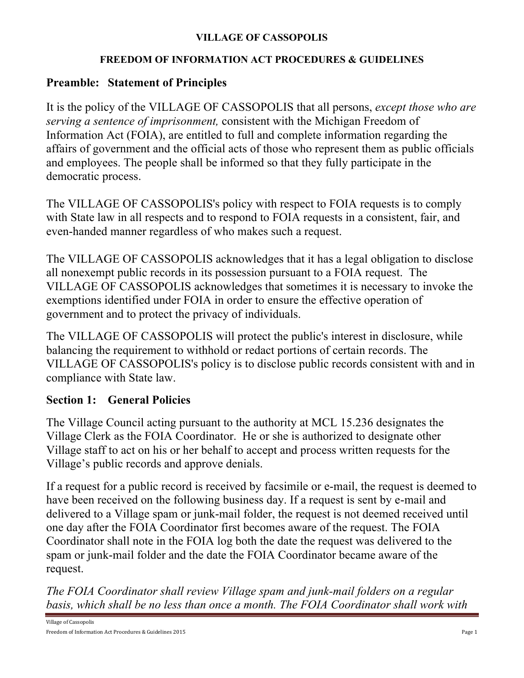#### **VILLAGE OF CASSOPOLIS**

#### **FREEDOM OF INFORMATION ACT PROCEDURES & GUIDELINES**

#### **Preamble: Statement of Principles**

It is the policy of the VILLAGE OF CASSOPOLIS that all persons, *except those who are serving a sentence of imprisonment,* consistent with the Michigan Freedom of Information Act (FOIA), are entitled to full and complete information regarding the affairs of government and the official acts of those who represent them as public officials and employees. The people shall be informed so that they fully participate in the democratic process.

The VILLAGE OF CASSOPOLIS's policy with respect to FOIA requests is to comply with State law in all respects and to respond to FOIA requests in a consistent, fair, and even-handed manner regardless of who makes such a request.

The VILLAGE OF CASSOPOLIS acknowledges that it has a legal obligation to disclose all nonexempt public records in its possession pursuant to a FOIA request. The VILLAGE OF CASSOPOLIS acknowledges that sometimes it is necessary to invoke the exemptions identified under FOIA in order to ensure the effective operation of government and to protect the privacy of individuals.

The VILLAGE OF CASSOPOLIS will protect the public's interest in disclosure, while balancing the requirement to withhold or redact portions of certain records. The VILLAGE OF CASSOPOLIS's policy is to disclose public records consistent with and in compliance with State law.

## **Section 1: General Policies**

The Village Council acting pursuant to the authority at MCL 15.236 designates the Village Clerk as the FOIA Coordinator. He or she is authorized to designate other Village staff to act on his or her behalf to accept and process written requests for the Village's public records and approve denials.

If a request for a public record is received by facsimile or e-mail, the request is deemed to have been received on the following business day. If a request is sent by e-mail and delivered to a Village spam or junk-mail folder, the request is not deemed received until one day after the FOIA Coordinator first becomes aware of the request. The FOIA Coordinator shall note in the FOIA log both the date the request was delivered to the spam or junk-mail folder and the date the FOIA Coordinator became aware of the request.

*The FOIA Coordinator shall review Village spam and junk-mail folders on a regular basis, which shall be no less than once a month. The FOIA Coordinator shall work with*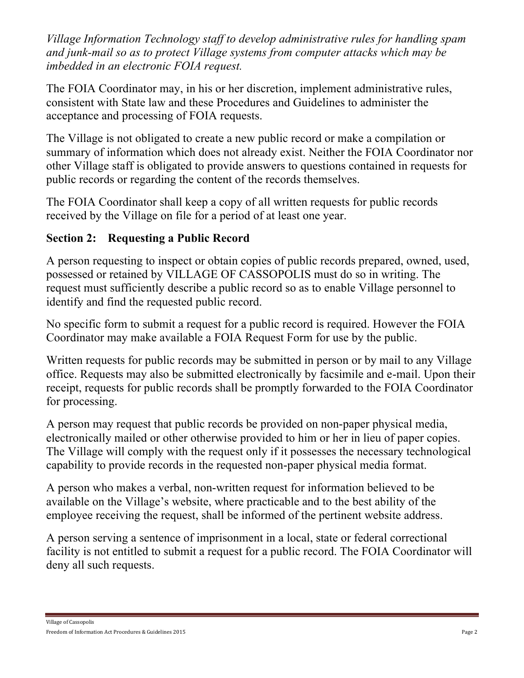*Village Information Technology staff to develop administrative rules for handling spam and junk-mail so as to protect Village systems from computer attacks which may be imbedded in an electronic FOIA request.*

The FOIA Coordinator may, in his or her discretion, implement administrative rules, consistent with State law and these Procedures and Guidelines to administer the acceptance and processing of FOIA requests.

The Village is not obligated to create a new public record or make a compilation or summary of information which does not already exist. Neither the FOIA Coordinator nor other Village staff is obligated to provide answers to questions contained in requests for public records or regarding the content of the records themselves.

The FOIA Coordinator shall keep a copy of all written requests for public records received by the Village on file for a period of at least one year.

# **Section 2: Requesting a Public Record**

A person requesting to inspect or obtain copies of public records prepared, owned, used, possessed or retained by VILLAGE OF CASSOPOLIS must do so in writing. The request must sufficiently describe a public record so as to enable Village personnel to identify and find the requested public record.

No specific form to submit a request for a public record is required. However the FOIA Coordinator may make available a FOIA Request Form for use by the public.

Written requests for public records may be submitted in person or by mail to any Village office. Requests may also be submitted electronically by facsimile and e-mail. Upon their receipt, requests for public records shall be promptly forwarded to the FOIA Coordinator for processing.

A person may request that public records be provided on non-paper physical media, electronically mailed or other otherwise provided to him or her in lieu of paper copies. The Village will comply with the request only if it possesses the necessary technological capability to provide records in the requested non-paper physical media format.

A person who makes a verbal, non-written request for information believed to be available on the Village's website, where practicable and to the best ability of the employee receiving the request, shall be informed of the pertinent website address.

A person serving a sentence of imprisonment in a local, state or federal correctional facility is not entitled to submit a request for a public record. The FOIA Coordinator will deny all such requests.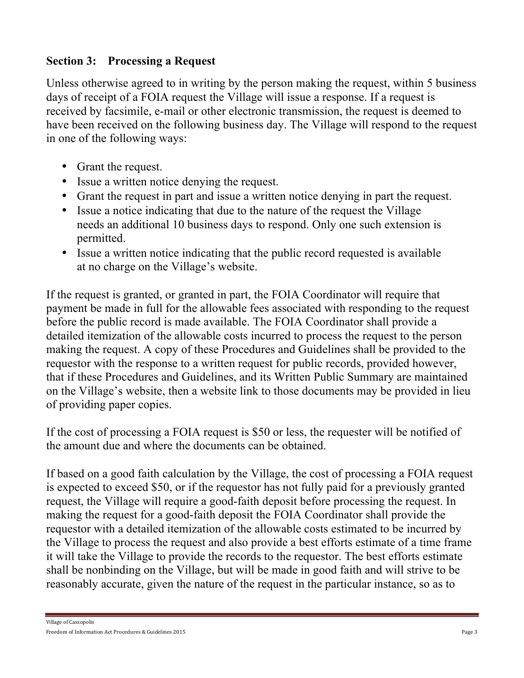## **Section 3: Processing a Request**

Unless otherwise agreed to in writing by the person making the request, within 5 business days of receipt of a FOIA request the Village will issue a response. If a request is received by facsimile, e-mail or other electronic transmission, the request is deemed to have been received on the following business day. The Village will respond to the request in one of the following ways:

- Grant the request.
- Issue a written notice denying the request.
- Grant the request in part and issue a written notice denying in part the request.
- Issue a notice indicating that due to the nature of the request the Village needs an additional 10 business days to respond. Only one such extension is permitted.
- Issue a written notice indicating that the public record requested is available at no charge on the Village's website.

If the request is granted, or granted in part, the FOIA Coordinator will require that payment be made in full for the allowable fees associated with responding to the request before the public record is made available. The FOIA Coordinator shall provide a detailed itemization of the allowable costs incurred to process the request to the person making the request. A copy of these Procedures and Guidelines shall be provided to the requestor with the response to a written request for public records, provided however, that if these Procedures and Guidelines, and its Written Public Summary are maintained on the Village's website, then a website link to those documents may be provided in lieu of providing paper copies.

If the cost of processing a FOIA request is \$50 or less, the requester will be notified of the amount due and where the documents can be obtained.

If based on a good faith calculation by the Village, the cost of processing a FOIA request is expected to exceed \$50, or if the requestor has not fully paid for a previously granted request, the Village will require a good-faith deposit before processing the request. In making the request for a good-faith deposit the FOIA Coordinator shall provide the requestor with a detailed itemization of the allowable costs estimated to be incurred by the Village to process the request and also provide a best efforts estimate of a time frame it will take the Village to provide the records to the requestor. The best efforts estimate shall be nonbinding on the Village, but will be made in good faith and will strive to be reasonably accurate, given the nature of the request in the particular instance, so as to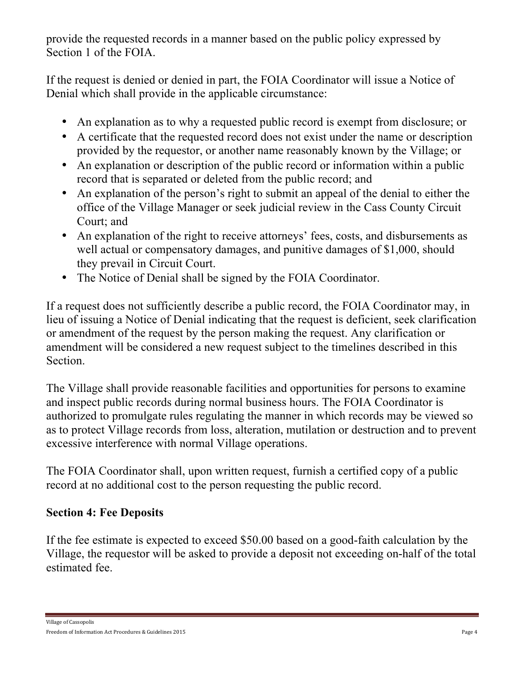provide the requested records in a manner based on the public policy expressed by Section 1 of the FOIA.

If the request is denied or denied in part, the FOIA Coordinator will issue a Notice of Denial which shall provide in the applicable circumstance:

- An explanation as to why a requested public record is exempt from disclosure; or
- A certificate that the requested record does not exist under the name or description provided by the requestor, or another name reasonably known by the Village; or
- An explanation or description of the public record or information within a public record that is separated or deleted from the public record; and
- An explanation of the person's right to submit an appeal of the denial to either the office of the Village Manager or seek judicial review in the Cass County Circuit Court; and
- An explanation of the right to receive attorneys' fees, costs, and disbursements as well actual or compensatory damages, and punitive damages of \$1,000, should they prevail in Circuit Court.
- The Notice of Denial shall be signed by the FOIA Coordinator.

If a request does not sufficiently describe a public record, the FOIA Coordinator may, in lieu of issuing a Notice of Denial indicating that the request is deficient, seek clarification or amendment of the request by the person making the request. Any clarification or amendment will be considered a new request subject to the timelines described in this Section.

The Village shall provide reasonable facilities and opportunities for persons to examine and inspect public records during normal business hours. The FOIA Coordinator is authorized to promulgate rules regulating the manner in which records may be viewed so as to protect Village records from loss, alteration, mutilation or destruction and to prevent excessive interference with normal Village operations.

The FOIA Coordinator shall, upon written request, furnish a certified copy of a public record at no additional cost to the person requesting the public record.

# **Section 4: Fee Deposits**

If the fee estimate is expected to exceed \$50.00 based on a good-faith calculation by the Village, the requestor will be asked to provide a deposit not exceeding on-half of the total estimated fee.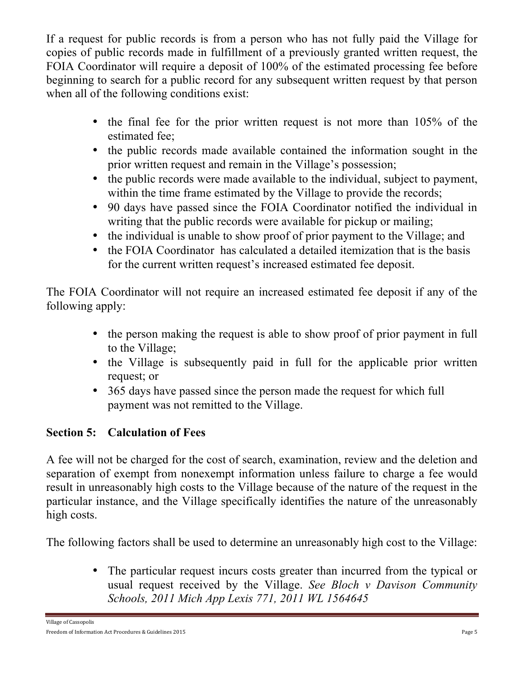If a request for public records is from a person who has not fully paid the Village for copies of public records made in fulfillment of a previously granted written request, the FOIA Coordinator will require a deposit of 100% of the estimated processing fee before beginning to search for a public record for any subsequent written request by that person when all of the following conditions exist:

- the final fee for the prior written request is not more than 105% of the estimated fee;
- the public records made available contained the information sought in the prior written request and remain in the Village's possession;
- the public records were made available to the individual, subject to payment, within the time frame estimated by the Village to provide the records;
- 90 days have passed since the FOIA Coordinator notified the individual in writing that the public records were available for pickup or mailing;
- the individual is unable to show proof of prior payment to the Village; and
- the FOIA Coordinator has calculated a detailed itemization that is the basis for the current written request's increased estimated fee deposit.

The FOIA Coordinator will not require an increased estimated fee deposit if any of the following apply:

- the person making the request is able to show proof of prior payment in full to the Village;
- the Village is subsequently paid in full for the applicable prior written request; or
- 365 days have passed since the person made the request for which full payment was not remitted to the Village.

# **Section 5: Calculation of Fees**

A fee will not be charged for the cost of search, examination, review and the deletion and separation of exempt from nonexempt information unless failure to charge a fee would result in unreasonably high costs to the Village because of the nature of the request in the particular instance, and the Village specifically identifies the nature of the unreasonably high costs.

The following factors shall be used to determine an unreasonably high cost to the Village:

• The particular request incurs costs greater than incurred from the typical or usual request received by the Village. *See Bloch v Davison Community Schools, 2011 Mich App Lexis 771, 2011 WL 1564645*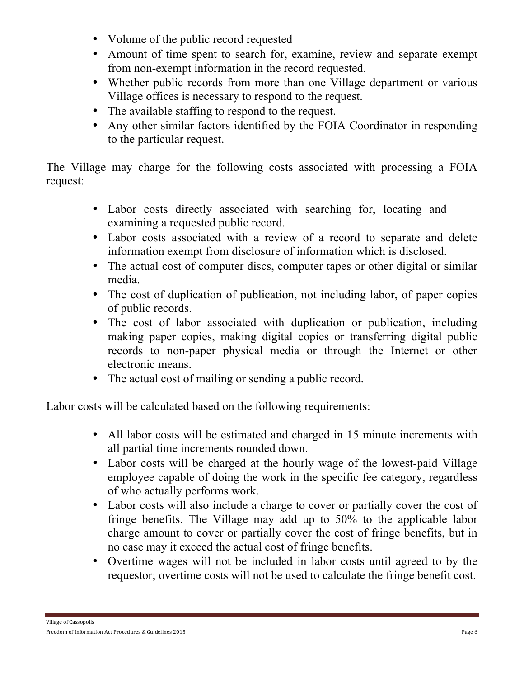- Volume of the public record requested
- Amount of time spent to search for, examine, review and separate exempt from non-exempt information in the record requested.
- Whether public records from more than one Village department or various Village offices is necessary to respond to the request.
- The available staffing to respond to the request.
- Any other similar factors identified by the FOIA Coordinator in responding to the particular request.

The Village may charge for the following costs associated with processing a FOIA request:

- Labor costs directly associated with searching for, locating and examining a requested public record.
- Labor costs associated with a review of a record to separate and delete information exempt from disclosure of information which is disclosed.
- The actual cost of computer discs, computer tapes or other digital or similar media.
- The cost of duplication of publication, not including labor, of paper copies of public records.
- The cost of labor associated with duplication or publication, including making paper copies, making digital copies or transferring digital public records to non-paper physical media or through the Internet or other electronic means.
- The actual cost of mailing or sending a public record.

Labor costs will be calculated based on the following requirements:

- All labor costs will be estimated and charged in 15 minute increments with all partial time increments rounded down.
- Labor costs will be charged at the hourly wage of the lowest-paid Village employee capable of doing the work in the specific fee category, regardless of who actually performs work.
- Labor costs will also include a charge to cover or partially cover the cost of fringe benefits. The Village may add up to 50% to the applicable labor charge amount to cover or partially cover the cost of fringe benefits, but in no case may it exceed the actual cost of fringe benefits.
- Overtime wages will not be included in labor costs until agreed to by the requestor; overtime costs will not be used to calculate the fringe benefit cost.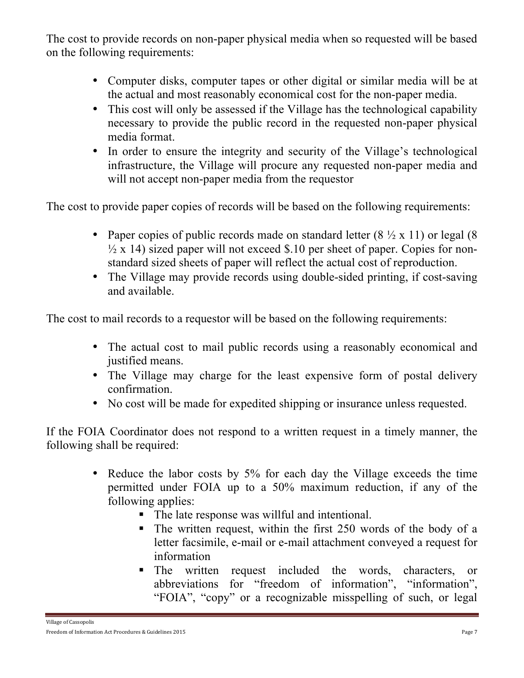The cost to provide records on non-paper physical media when so requested will be based on the following requirements:

- Computer disks, computer tapes or other digital or similar media will be at the actual and most reasonably economical cost for the non-paper media.
- This cost will only be assessed if the Village has the technological capability necessary to provide the public record in the requested non-paper physical media format.
- In order to ensure the integrity and security of the Village's technological infrastructure, the Village will procure any requested non-paper media and will not accept non-paper media from the requestor

The cost to provide paper copies of records will be based on the following requirements:

- Paper copies of public records made on standard letter  $(8 \frac{1}{2} \times 11)$  or legal  $(8 \frac{1}{2} \times 11)$  $\frac{1}{2}$  x 14) sized paper will not exceed \$.10 per sheet of paper. Copies for nonstandard sized sheets of paper will reflect the actual cost of reproduction.
- The Village may provide records using double-sided printing, if cost-saving and available.

The cost to mail records to a requestor will be based on the following requirements:

- The actual cost to mail public records using a reasonably economical and justified means.
- The Village may charge for the least expensive form of postal delivery confirmation.
- No cost will be made for expedited shipping or insurance unless requested.

If the FOIA Coordinator does not respond to a written request in a timely manner, the following shall be required:

- Reduce the labor costs by 5% for each day the Village exceeds the time permitted under FOIA up to a 50% maximum reduction, if any of the following applies:
	- The late response was willful and intentional.
	- The written request, within the first 250 words of the body of a letter facsimile, e-mail or e-mail attachment conveyed a request for information
	- § The written request included the words, characters, or abbreviations for "freedom of information", "information", "FOIA", "copy" or a recognizable misspelling of such, or legal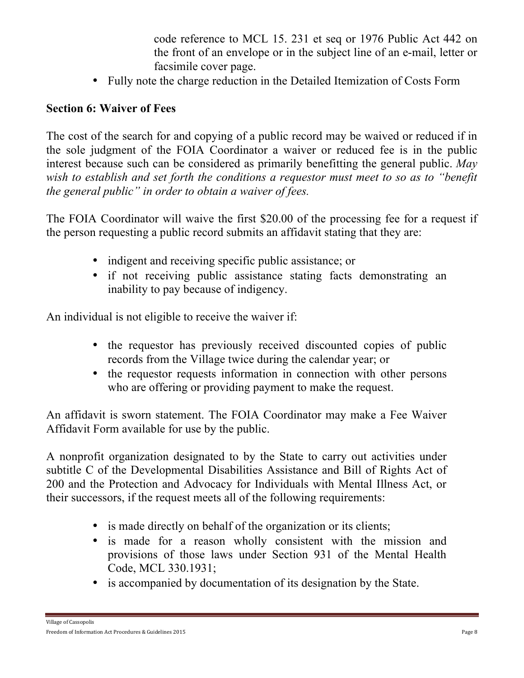code reference to MCL 15. 231 et seq or 1976 Public Act 442 on the front of an envelope or in the subject line of an e-mail, letter or facsimile cover page.

• Fully note the charge reduction in the Detailed Itemization of Costs Form

#### **Section 6: Waiver of Fees**

The cost of the search for and copying of a public record may be waived or reduced if in the sole judgment of the FOIA Coordinator a waiver or reduced fee is in the public interest because such can be considered as primarily benefitting the general public. *May wish to establish and set forth the conditions a requestor must meet to so as to "benefit the general public" in order to obtain a waiver of fees.* 

The FOIA Coordinator will waive the first \$20.00 of the processing fee for a request if the person requesting a public record submits an affidavit stating that they are:

- indigent and receiving specific public assistance; or
- if not receiving public assistance stating facts demonstrating an inability to pay because of indigency.

An individual is not eligible to receive the waiver if:

- the requestor has previously received discounted copies of public records from the Village twice during the calendar year; or
- the requestor requests information in connection with other persons who are offering or providing payment to make the request.

An affidavit is sworn statement. The FOIA Coordinator may make a Fee Waiver Affidavit Form available for use by the public.

A nonprofit organization designated to by the State to carry out activities under subtitle C of the Developmental Disabilities Assistance and Bill of Rights Act of 200 and the Protection and Advocacy for Individuals with Mental Illness Act, or their successors, if the request meets all of the following requirements:

- is made directly on behalf of the organization or its clients;
- is made for a reason wholly consistent with the mission and provisions of those laws under Section 931 of the Mental Health Code, MCL 330.1931;
- is accompanied by documentation of its designation by the State.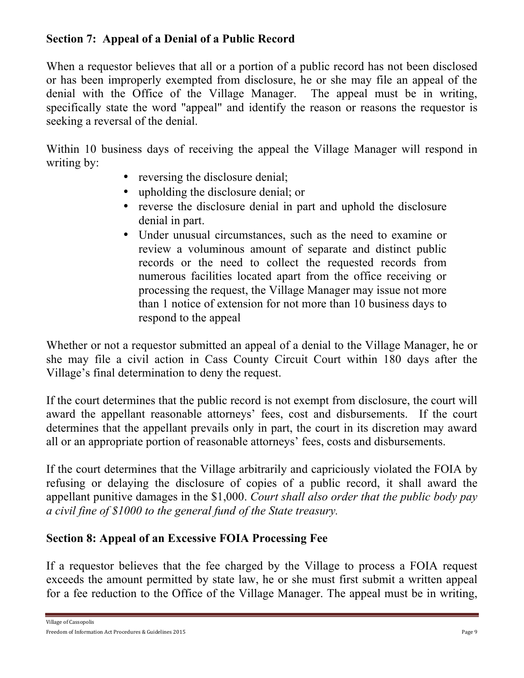## **Section 7: Appeal of a Denial of a Public Record**

When a requestor believes that all or a portion of a public record has not been disclosed or has been improperly exempted from disclosure, he or she may file an appeal of the denial with the Office of the Village Manager. The appeal must be in writing, specifically state the word "appeal" and identify the reason or reasons the requestor is seeking a reversal of the denial.

Within 10 business days of receiving the appeal the Village Manager will respond in writing by:

- reversing the disclosure denial;
- upholding the disclosure denial; or
- reverse the disclosure denial in part and uphold the disclosure denial in part.
- Under unusual circumstances, such as the need to examine or review a voluminous amount of separate and distinct public records or the need to collect the requested records from numerous facilities located apart from the office receiving or processing the request, the Village Manager may issue not more than 1 notice of extension for not more than 10 business days to respond to the appeal

Whether or not a requestor submitted an appeal of a denial to the Village Manager, he or she may file a civil action in Cass County Circuit Court within 180 days after the Village's final determination to deny the request.

If the court determines that the public record is not exempt from disclosure, the court will award the appellant reasonable attorneys' fees, cost and disbursements. If the court determines that the appellant prevails only in part, the court in its discretion may award all or an appropriate portion of reasonable attorneys' fees, costs and disbursements.

If the court determines that the Village arbitrarily and capriciously violated the FOIA by refusing or delaying the disclosure of copies of a public record, it shall award the appellant punitive damages in the \$1,000. *Court shall also order that the public body pay a civil fine of \$1000 to the general fund of the State treasury.*

# **Section 8: Appeal of an Excessive FOIA Processing Fee**

If a requestor believes that the fee charged by the Village to process a FOIA request exceeds the amount permitted by state law, he or she must first submit a written appeal for a fee reduction to the Office of the Village Manager. The appeal must be in writing,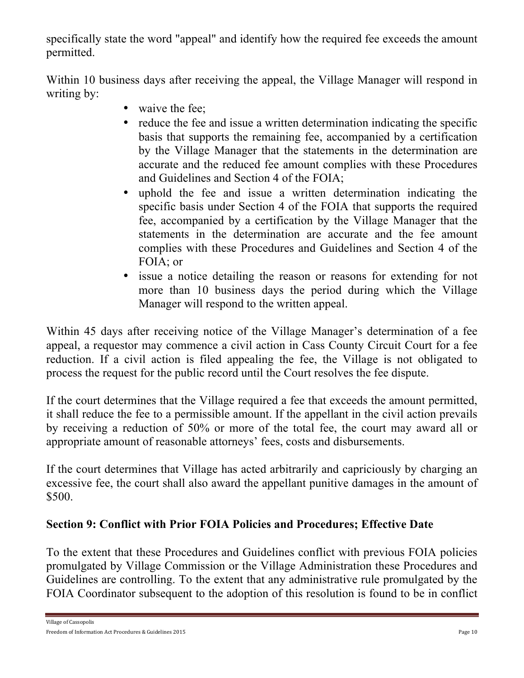specifically state the word "appeal" and identify how the required fee exceeds the amount permitted.

Within 10 business days after receiving the appeal, the Village Manager will respond in writing by:

- waive the fee;
- reduce the fee and issue a written determination indicating the specific basis that supports the remaining fee, accompanied by a certification by the Village Manager that the statements in the determination are accurate and the reduced fee amount complies with these Procedures and Guidelines and Section 4 of the FOIA;
- uphold the fee and issue a written determination indicating the specific basis under Section 4 of the FOIA that supports the required fee, accompanied by a certification by the Village Manager that the statements in the determination are accurate and the fee amount complies with these Procedures and Guidelines and Section 4 of the FOIA; or
- issue a notice detailing the reason or reasons for extending for not more than 10 business days the period during which the Village Manager will respond to the written appeal.

Within 45 days after receiving notice of the Village Manager's determination of a fee appeal, a requestor may commence a civil action in Cass County Circuit Court for a fee reduction. If a civil action is filed appealing the fee, the Village is not obligated to process the request for the public record until the Court resolves the fee dispute.

If the court determines that the Village required a fee that exceeds the amount permitted, it shall reduce the fee to a permissible amount. If the appellant in the civil action prevails by receiving a reduction of 50% or more of the total fee, the court may award all or appropriate amount of reasonable attorneys' fees, costs and disbursements.

If the court determines that Village has acted arbitrarily and capriciously by charging an excessive fee, the court shall also award the appellant punitive damages in the amount of \$500.

# **Section 9: Conflict with Prior FOIA Policies and Procedures; Effective Date**

To the extent that these Procedures and Guidelines conflict with previous FOIA policies promulgated by Village Commission or the Village Administration these Procedures and Guidelines are controlling. To the extent that any administrative rule promulgated by the FOIA Coordinator subsequent to the adoption of this resolution is found to be in conflict